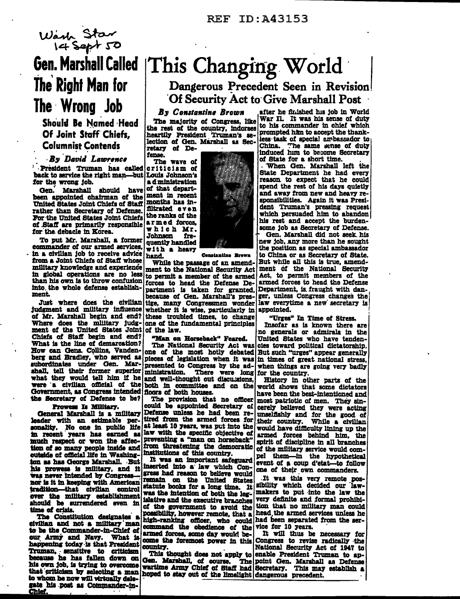

# **Gen. Marshall Called** The Right Man for The Wrong Job

Should Be Named Head Of Joint Staff Chiefs. **Columnist Contends** 

## **By David Lawrence**

President Truman has called back to service the right man-but Louis Johnson's for the wrong job.

Gen. Marshall should have been appointed chairman of the United States Joint Chiefs of Staff rather than Secretary of Defense. For the United States Joint Chiefs of Staff are primarily responsible for the debacle in Korea.

To put Mr. Marshall, a former commander of our armed services. in a civilian job to receive advice hand. from a Joint Chiefs of Staff whose military knowledge and experience in global operations are no less than his own is to throw confusion into the whole defense establishment.

Just where does the civilian judgment and military influence of Mr. Marshall begin and end? Where does the military judgment of the United States Joint of the law. Chiefs of Staff begin and end? What is the line of demarcation? How can Gens. Collins, Vandenberg and Bradley, who served as pieces of legislation when it was subordinates under Gen. Mar-presented to Congress by the adshall, tell their former superior what they would tell him if he and well-thought out discussions, were a civilian official of the Government, as Congress intended the Secretary of Defense to be?

### Prowess Is Military.

General Marshall is a military leader with an estimable perseated. No one in public life at least 10 years, was put into the sonality. No one in public life at least 10 years, was put into the sound in recent years has earned as law with the specific objective of much respect or w much respect or won the affection of so many people inside and outside of official life in Washington as has George Marshall. But his prowess is military, and it was never intended by Congress nor is it in keeping with American tradition-that civilian control over the military establishment should be surrendered even in time of crisis.

The Constitution designates s civilian and not a military man to be the Commander-in-Chief of our Army and Navy. What is happening today is that President **Truman, sensitive to criticism** because he has fallen down on his own job, is trying to overcome that criticism by selecting a man to whom he now will wirtually delegate his post as Commander-in-Chief.

# This Changing World

Dangerous Precedent Seen in Revision Of Security Act to Give Marshall Post

By Constantine Brown The majority of Congress, like the rest of the country, indorses heartily President Truman's selection of Gen. Marshall as Secretary of Defense.

The wave of criticism of a d ministration of that department in recent months has infiltrated even the ranks of the armed forces. which Mr. fre-Johnson quently handled with a heavy

Canatantina Reages

While the passage of an amendment to the National Security Act to permit a member of the armed forces to head the Defense Department is taken for granted. because of Gen. Marshall's prestige, many Congressmen wonder whether it is wise, particularly in these troubled times, to change<br>one of the fundamental principles

"Man on Horseback" Feared.

The National Security Act was<br>one of the most hotly debated There were long ministration. both in committee and on the filoors of both houses.

The provision that no officer could be appointed Secretary of Defense unless he had been retired from the armed forces for from threatening the democratic institutions of this country.

It was an important safeguard inserted into a law which Congress had reason to believe would remain on the United States statute books for a long time. It was the intention of both the legislative and the executive branches of the government to avoid the possibility, however remote, that a high-ranking officer, who could command the obedience of the armed forces, some day would become the foremost power in this country.

This thought does not apply to Gen. Marshall, of course.

after he finished his job in World War II. It was his sense of duty to his commander in chief which prompted him to accept the thankless task of special ambassador to<br>China. The same sense of duty induced him to become Secretary of State for a short time.

When Gen. Marshall left the State Department he had every<br>reason to expect that he could spend the rest of his days quietly and away from new and heavy responsibilities. Again it was President Truman's pressing request which persuaded him to abandon his rest and accept the burdensome job as Secretary of Defense.

Gen. Marshall did not seek his new job, any more than he sought the position as special ambassador to China or as Secretary of State. But while all this is true, amendment of the National Security Act, to permit members of the armed forces to head the Defense Department, is fraught with danger, unless Congress changes the law everytime a new secretary is appointed.

"Urges" In Time of Stress.

Insofar as is known there are no generals or admirals in the United States who have tendencies toward political dictatorship. But such "urges" appear generally in times of great national stress. when things are going very badly for the country.

History in other parts of the world shows that some dictators have been the best-intentioned and most patriotic of men. They sincerely believed they were acting unselfishly and for the good of their country. While a civilian would have difficulty lining up the armed forces behind him, the spirit of discipline in all branches of the military service would compel them-in the hypothetical event of a coup d'etat-to follow one of their own commanders.

.It was this very remote possibility which decided our lawmakers to put into the law the very definite and formal prohibition that no military man could head, the armed services unless he had been separated from the service for 10 years.

It will thus be necessary for Congress to revise radically the National Security Act of 1947 to enable President Truman to ap-The point Gen. Marshall as Defense wartime Army Chief of Staff had Secretary. This may establish a hoped to stay out of the limelight dangerous precedent.